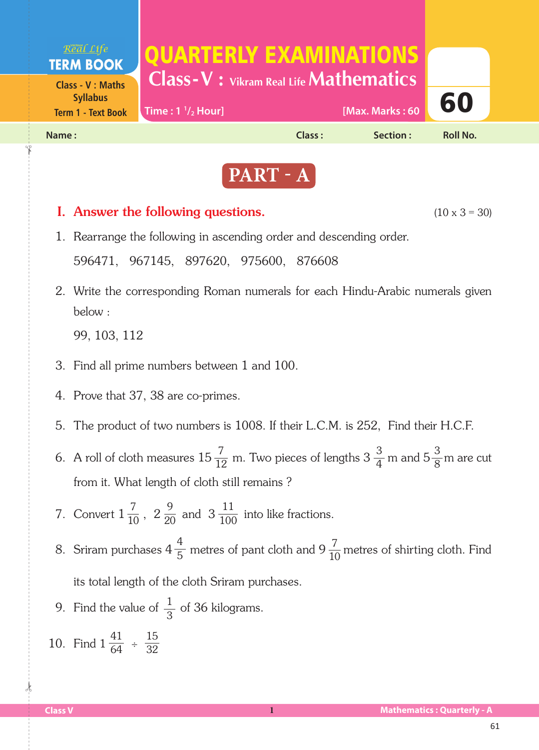



# **I.** Answer the following questions.  $(10 \times 3 = 30)$  1. Rearrange the following in ascending order and descending order. 596471, 967145, 897620, 975600, 876608 2. Write the corresponding Roman numerals for each Hindu-Arabic numerals given below : 99, 103, 112 3. Find all prime numbers between 1 and 100. 4. Prove that 37, 38 are co-primes. 5. The product of two numbers is 1008. If their L.C.M. is 252, Find their H.C.F. 6. A roll of cloth measures  $15\frac{7}{12}$  m. Two pieces of lengths  $3\frac{3}{4}$  m and  $5\frac{3}{8}$ m are cut from it. What length of cloth still remains ? 7. Convert  $1\frac{7}{10}$ ,  $2\frac{9}{20}$  and  $3\frac{11}{100}$  into like fractions. 8. Sriram purchases  $4\frac{4}{5}$  metres of pant cloth and  $9\frac{7}{10}$  metres of shirting cloth. Find its total length of the cloth Sriram purchases. 9. Find the value of  $\frac{1}{2}$  of 36 kilograms. 12 3 4 10 9 20 5 3 7 10 11 100 3 8

10. Find  $1\frac{41}{64}$  ÷ 64 15 32

 $\frac{1}{2}$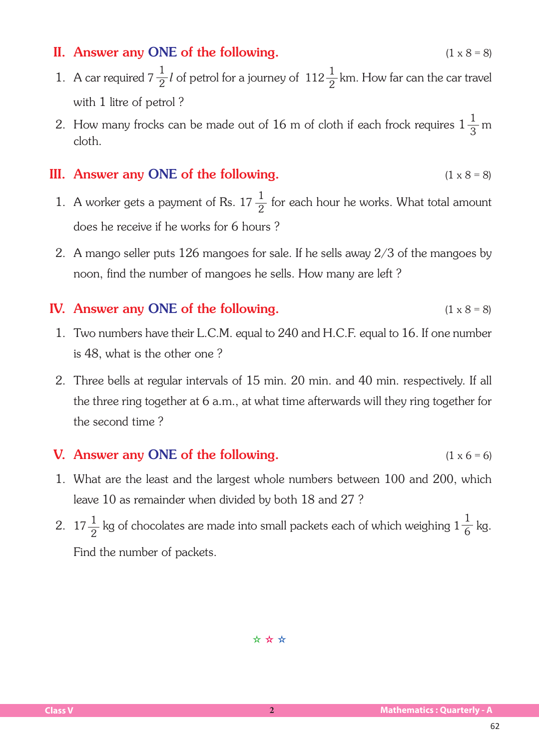## II. Answer any ONE of the following.  $(1 \times 8 = 8)$

- 1. A car required  $7\frac{1}{2}l$  of petrol for a journey of  $112\frac{1}{2}$  km. How far can the car travel with 1 litre of petrol ? 2 1 2
- 2. How many frocks can be made out of 16 m of cloth if each frock requires  $1\frac{1}{2}$  m cloth. 3

#### III. Answer any ONE of the following.  $(1 \times 8 = 8)$

- 1. A worker gets a payment of Rs. 17  $\frac{1}{2}$  for each hour he works. What total amount does he receive if he works for 6 hours ? 2
	- 2. A mango seller puts 126 mangoes for sale. If he sells away 2/3 of the mangoes by noon, find the number of mangoes he sells. How many are left ?

## IV. Answer any ONE of the following.  $(1 \times 8 = 8)$

- 1. Two numbers have their L.C.M. equal to 240 and H.C.F. equal to 16. If one number is 48, what is the other one ?
- 2. Three bells at regular intervals of 15 min. 20 min. and 40 min. respectively. If all the three ring together at 6 a.m., at what time afterwards will they ring together for the second time ?

### **V.** Answer any ONE of the following.  $(1 \times 6 = 6)$

- 1. What are the least and the largest whole numbers between 100 and 200, which leave 10 as remainder when divided by both 18 and 27 ?
- 2. 17 $\frac{1}{2}$  kg of chocolates are made into small packets each of which weighing  $1\frac{1}{6}$  kg. Find the number of packets. 2 1 6

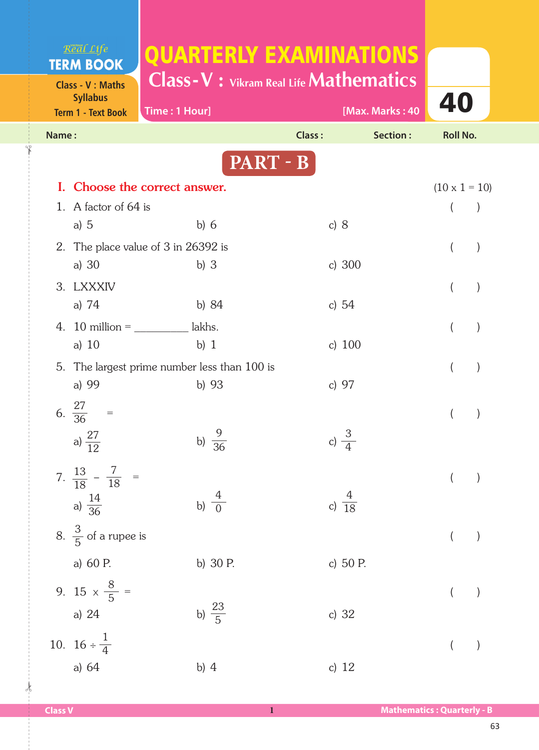| Real Life                                                               |                                              |                                                                                       |                      |
|-------------------------------------------------------------------------|----------------------------------------------|---------------------------------------------------------------------------------------|----------------------|
| <b>TERM BOOK</b>                                                        |                                              | <b>QUARTERLY EXAMINATIONS</b><br><b>Class-V</b> : Vikram Real Life <b>Mathematics</b> |                      |
| <b>Class - V: Maths</b><br><b>Syllabus</b><br><b>Term 1 - Text Book</b> | Time: 1 Hour]                                | [Max. Marks: 40                                                                       | 40                   |
| Name:                                                                   |                                              | Class:<br>Section:                                                                    | <b>Roll No.</b>      |
|                                                                         | PART - B                                     |                                                                                       |                      |
|                                                                         | Choose the correct answer.                   |                                                                                       | $(10 \times 1 = 10)$ |
| 1. A factor of 64 is                                                    |                                              |                                                                                       | $\left( \right)$     |
| a) $5$                                                                  | b) $6$                                       | c) $8$                                                                                |                      |
| 2. The place value of 3 in 26392 is<br>$\rightarrow$<br>$\left($        |                                              |                                                                                       |                      |
| a) $30$                                                                 | b) $3$                                       | c) $300$                                                                              |                      |
| 3. LXXXIV                                                               |                                              |                                                                                       | $\mathcal{E}$        |
| a) $74$                                                                 | b) $84$                                      | c) $54$                                                                               |                      |
| 4. 10 million = $\frac{1}{2}$ lakhs.                                    |                                              |                                                                                       | $\mathcal{E}$        |
| a) $10$                                                                 | $b)$ 1                                       | c) $100$                                                                              |                      |
|                                                                         | 5. The largest prime number less than 100 is |                                                                                       | $\mathcal{E}$        |
| a) 99                                                                   | b) $93$                                      | c) 97                                                                                 |                      |
| 6. $\frac{27}{36}$                                                      |                                              |                                                                                       |                      |
|                                                                         |                                              |                                                                                       |                      |
| a) $\frac{27}{12}$                                                      | b) $\frac{5}{36}$                            | c) $\frac{3}{4}$                                                                      |                      |
| 7. $\frac{13}{18} - \frac{7}{18}$ =                                     |                                              |                                                                                       | $\overline{(\ }$     |
|                                                                         |                                              |                                                                                       |                      |
| a) $\frac{14}{36}$                                                      | b) $\frac{4}{0}$                             | c) $\frac{4}{18}$                                                                     |                      |
| 8. $\frac{3}{5}$ of a rupee is                                          |                                              |                                                                                       |                      |
|                                                                         |                                              |                                                                                       |                      |
| a) 60 P.                                                                | b) 30 P.                                     | c) 50 P.                                                                              |                      |
| 9. 15 $\times \frac{8}{5}$ =                                            |                                              |                                                                                       |                      |
| a) 24                                                                   | b) $\frac{23}{5}$                            | c) 32                                                                                 |                      |
| 10. $16 \div \frac{1}{4}$                                               |                                              |                                                                                       |                      |
|                                                                         |                                              |                                                                                       | $\overline{(}$       |
| a) 64                                                                   | b) $4$                                       | c) $12$                                                                               |                      |

 $\frac{1}{2}$ 

✁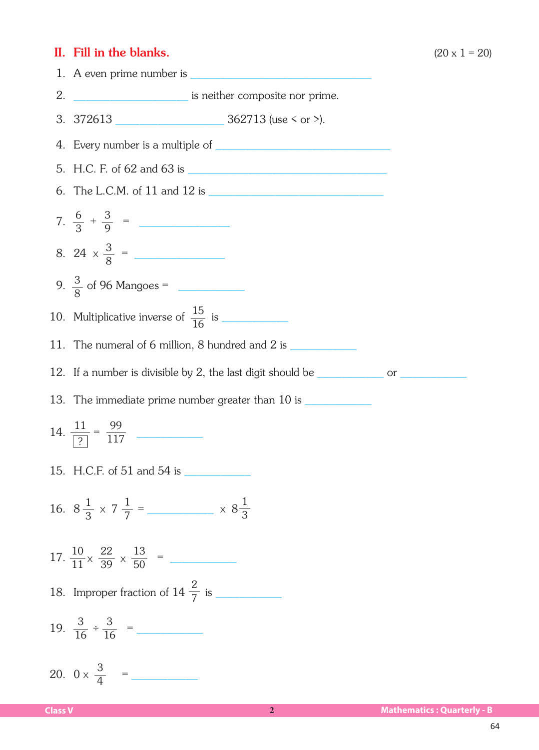#### II. Fill in the blanks. (20 x 1 = 20)



- 3. 372613 \_\_\_\_\_\_\_\_\_\_\_\_\_\_\_\_\_\_ 362713 (use < or >).
- 4. Every number is a multiple of \_\_\_\_\_\_\_\_\_\_\_\_\_\_\_\_\_\_\_\_\_\_\_\_\_\_\_\_\_
- 5. H.C. F. of 62 and 63 is \_\_\_\_\_\_\_\_\_\_\_\_\_\_\_\_\_\_\_\_\_\_\_\_\_\_\_\_\_\_\_\_\_
- 6. The L.C.M. of 11 and 12 is \_\_\_\_\_\_\_\_\_\_\_\_\_\_\_\_\_\_\_\_\_\_\_\_\_\_\_\_\_
- $7. \frac{6}{2} + \frac{3}{2} =$ 3 3 9
- 8. 24  $\times \frac{3}{8}$  = 8
- 9.  $\frac{3}{6}$  of 96 Mangoes = 8
- 10. Multiplicative inverse of is \_\_\_\_\_\_\_\_\_\_\_ 15 16
- 11. The numeral of 6 million, 8 hundred and 2 is
- 12. If a number is divisible by 2, the last digit should be \_\_\_\_\_\_\_\_\_\_\_\_\_\_\_ or \_
- 13. The immediate prime number greater than 10 is \_\_\_\_\_\_\_\_\_
- $14. \frac{11}{\sqrt{2}} = \frac{99}{117}$ ? 99 117
- 15. H.C.F. of 51 and 54 is \_\_\_\_\_\_\_\_\_\_\_
- 16.  $8\frac{1}{2} \times 7\frac{1}{7} =$   $\times 8\frac{1}{2}$ 3 1 7 1 3
- 17.  $\frac{10}{11} \times \frac{22}{20} \times \frac{13}{50} =$ 11 22 39  $\times \frac{22}{39} \times \frac{13}{50}$
- 18. Improper fraction of 14 is \_\_\_\_\_\_\_\_\_\_\_ 2 7
- 19.  $\frac{3}{16} \div \frac{3}{16} =$ 16 3 16 ÷
- 20.  $0 \times \frac{3}{4}$  = 4